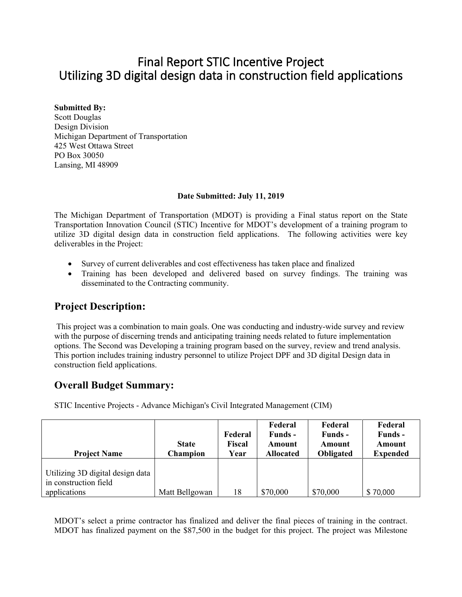# Final Report STIC Incentive Project Utilizing 3D digital design data in construction field applications

#### **Submitted By:**

Scott Douglas Design Division Michigan Department of Transportation 425 West Ottawa Street PO Box 30050 Lansing, MI 48909

#### **Date Submitted: July 11, 2019**

The Michigan Department of Transportation (MDOT) is providing a Final status report on the State Transportation Innovation Council (STIC) Incentive for MDOT's development of a training program to utilize 3D digital design data in construction field applications. The following activities were key deliverables in the Project:

- Survey of current deliverables and cost effectiveness has taken place and finalized
- Training has been developed and delivered based on survey findings. The training was disseminated to the Contracting community.

# **Project Description:**

This project was a combination to main goals. One was conducting and industry-wide survey and review with the purpose of discerning trends and anticipating training needs related to future implementation options. The Second was Developing a training program based on the survey, review and trend analysis. This portion includes training industry personnel to utilize Project DPF and 3D digital Design data in construction field applications.

## **Overall Budget Summary:**

STIC Incentive Projects - Advance Michigan's Civil Integrated Management (CIM)

| <b>Project Name</b>                                                       | <b>State</b><br><b>Champion</b> | Federal<br>Fiscal<br>Year | Federal<br>Funds -<br>Amount<br><b>Allocated</b> | Federal<br>Funds -<br>Amount<br><b>Obligated</b> | Federal<br>Funds -<br>Amount<br><b>Expended</b> |
|---------------------------------------------------------------------------|---------------------------------|---------------------------|--------------------------------------------------|--------------------------------------------------|-------------------------------------------------|
| Utilizing 3D digital design data<br>in construction field<br>applications | Matt Bellgowan                  | 18                        | \$70,000                                         | \$70,000                                         | \$70,000                                        |

MDOT's select a prime contractor has finalized and deliver the final pieces of training in the contract. MDOT has finalized payment on the \$87,500 in the budget for this project. The project was Milestone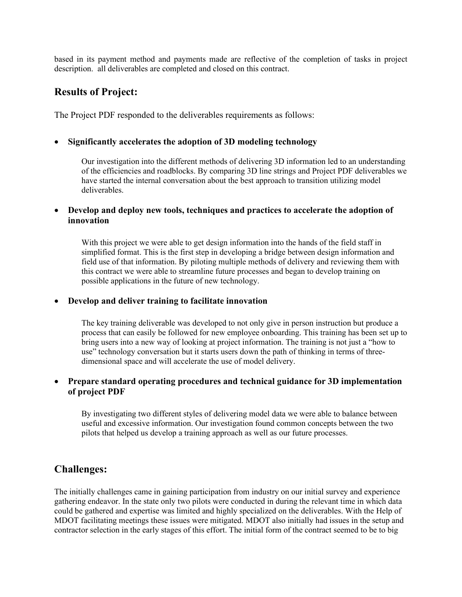based in its payment method and payments made are reflective of the completion of tasks in project description. all deliverables are completed and closed on this contract.

### **Results of Project:**

The Project PDF responded to the deliverables requirements as follows:

#### • **Significantly accelerates the adoption of 3D modeling technology**

Our investigation into the different methods of delivering 3D information led to an understanding of the efficiencies and roadblocks. By comparing 3D line strings and Project PDF deliverables we have started the internal conversation about the best approach to transition utilizing model deliverables.

• **Develop and deploy new tools, techniques and practices to accelerate the adoption of innovation**

With this project we were able to get design information into the hands of the field staff in simplified format. This is the first step in developing a bridge between design information and field use of that information. By piloting multiple methods of delivery and reviewing them with this contract we were able to streamline future processes and began to develop training on possible applications in the future of new technology.

#### • **Develop and deliver training to facilitate innovation**

The key training deliverable was developed to not only give in person instruction but produce a process that can easily be followed for new employee onboarding. This training has been set up to bring users into a new way of looking at project information. The training is not just a "how to use" technology conversation but it starts users down the path of thinking in terms of threedimensional space and will accelerate the use of model delivery.

#### • **Prepare standard operating procedures and technical guidance for 3D implementation of project PDF**

By investigating two different styles of delivering model data we were able to balance between useful and excessive information. Our investigation found common concepts between the two pilots that helped us develop a training approach as well as our future processes.

### **Challenges:**

The initially challenges came in gaining participation from industry on our initial survey and experience gathering endeavor. In the state only two pilots were conducted in during the relevant time in which data could be gathered and expertise was limited and highly specialized on the deliverables. With the Help of MDOT facilitating meetings these issues were mitigated. MDOT also initially had issues in the setup and contractor selection in the early stages of this effort. The initial form of the contract seemed to be to big